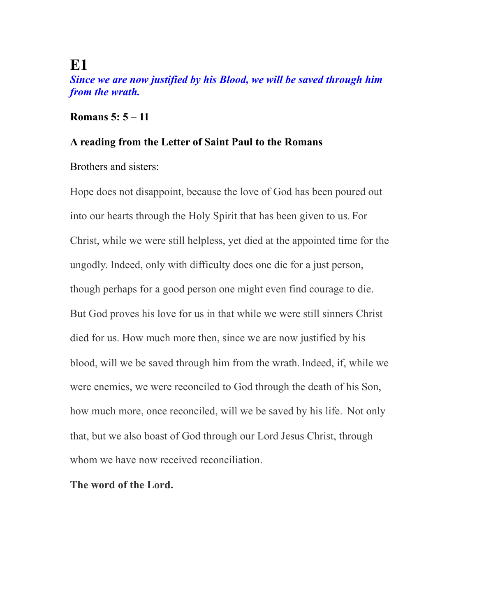## **E1**

*Since we are now justified by his Blood, we will be saved through him from the wrath.* 

### **Romans 5: 5 – 11**

#### **A reading from the Letter of Saint Paul to the Romans**

Brothers and sisters:

Hope does not disappoint, because the love of God has been poured out into our hearts through the Holy Spirit that has been given to us. For Christ, while we were still helpless, yet died at the appointed time for the ungodly. Indeed, only with difficulty does one die for a just person, though perhaps for a good person one might even find courage to die. But God proves his love for us in that while we were still sinners Christ died for us. How much more then, since we are now justified by his blood, will we be saved through him from the wrath. Indeed, if, while we were enemies, we were reconciled to God through the death of his Son, how much more, once reconciled, will we be saved by his life. Not only that, but we also boast of God through our Lord Jesus Christ, through whom we have now received reconciliation.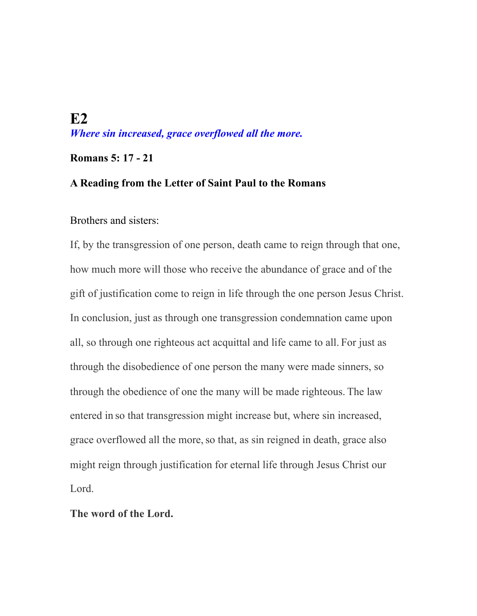## **E2**  *Where sin increased, grace overflowed all the more.*

### **Romans 5: 17 - 21**

### **A Reading from the Letter of Saint Paul to the Romans**

Brothers and sisters:

If, by the transgression of one person, death came to reign through that one, how much more will those who receive the abundance of grace and of the gift of justification come to reign in life through the one person Jesus Christ. In conclusion, just as through one transgression condemnation came upon all, so through one righteous act acquittal and life came to all. For just as through the disobedience of one person the many were made sinners, so through the obedience of one the many will be made righteous. The law entered in so that transgression might increase but, where sin increased, grace overflowed all the more,so that, as sin reigned in death, grace also might reign through justification for eternal life through Jesus Christ our Lord.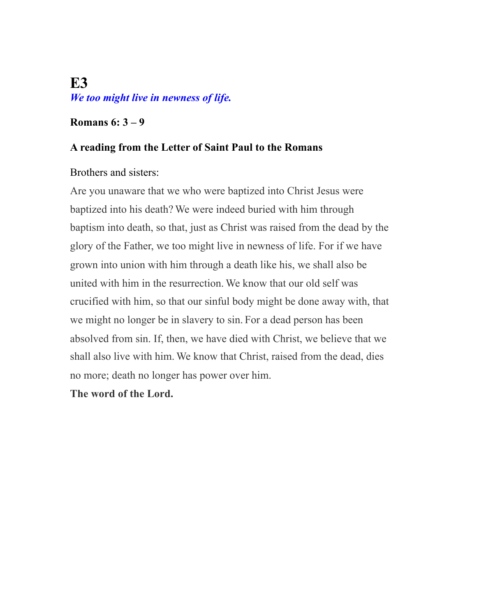# **E3**  *We too might live in newness of life.*

### **Romans 6: 3 – 9**

### **A reading from the Letter of Saint Paul to the Romans**

### Brothers and sisters:

Are you unaware that we who were baptized into Christ Jesus were baptized into his death? We were indeed buried with him through baptism into death, so that, just as Christ was raised from the dead by the glory of the Father, we too might live in newness of life. For if we have grown into union with him through a death like his, we shall also be united with him in the resurrection. We know that our old self was crucified with him, so that our sinful body might be done away with, that we might no longer be in slavery to sin. For a dead person has been absolved from sin. If, then, we have died with Christ, we believe that we shall also live with him. We know that Christ, raised from the dead, dies no more; death no longer has power over him.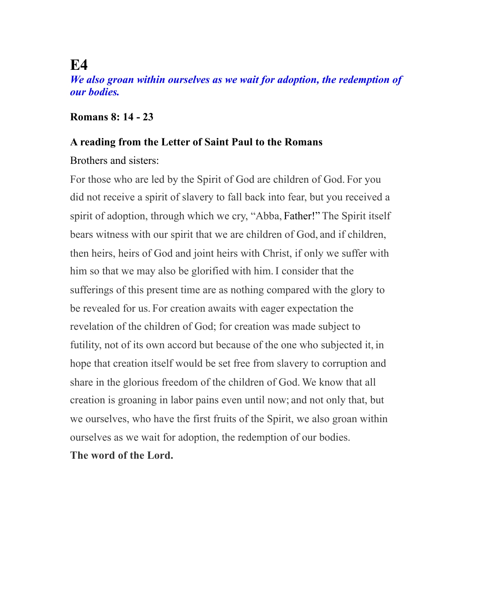## **E4**

*We also groan within ourselves as we wait for adoption, the redemption of our bodies.* 

### **Romans 8: 14 - 23**

#### **A reading from the Letter of Saint Paul to the Romans**

### Brothers and sisters:

For those who are led by the Spirit of God are children of God. For you did not receive a spirit of slavery to fall back into fear, but you received a spirit of adoption, through which we cry, "Abba, Father!" The Spirit itself bears witness with our spirit that we are children of God, and if children, then heirs, heirs of God and joint heirs with Christ, if only we suffer with him so that we may also be glorified with him. I consider that the sufferings of this present time are as nothing compared with the glory to be revealed for us. For creation awaits with eager expectation the revelation of the children of God; for creation was made subject to futility, not of its own accord but because of the one who subjected it, in hope that creation itself would be set free from slavery to corruption and share in the glorious freedom of the children of God. We know that all creation is groaning in labor pains even until now; and not only that, but we ourselves, who have the first fruits of the Spirit, we also groan within ourselves as we wait for adoption, the redemption of our bodies.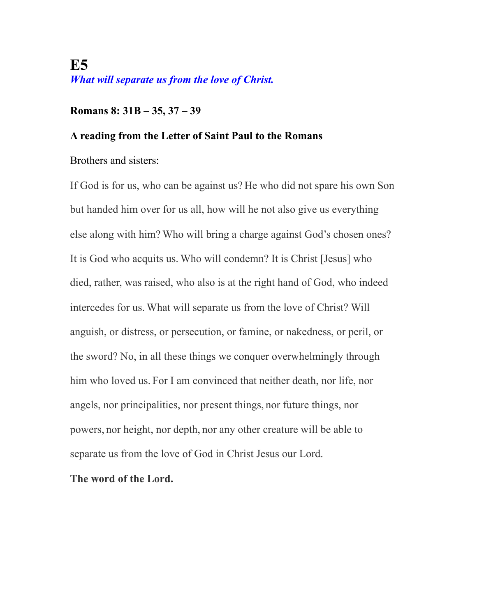## **E5**  *What will separate us from the love of Christ.*

### **Romans 8: 31B – 35, 37 – 39**

### **A reading from the Letter of Saint Paul to the Romans**

Brothers and sisters:

If God is for us, who can be against us? He who did not spare his own Son but handed him over for us all, how will he not also give us everything else along with him? Who will bring a charge against God's chosen ones? It is God who acquits us. Who will condemn? It is Christ [Jesus] who died, rather, was raised, who also is at the right hand of God, who indeed intercedes for us. What will separate us from the love of Christ? Will anguish, or distress, or persecution, or famine, or nakedness, or peril, or the sword? No, in all these things we conquer overwhelmingly through him who loved us. For I am convinced that neither death, nor life, nor angels, nor principalities, nor present things, nor future things, nor powers, nor height, nor depth, nor any other creature will be able to separate us from the love of God in Christ Jesus our Lord.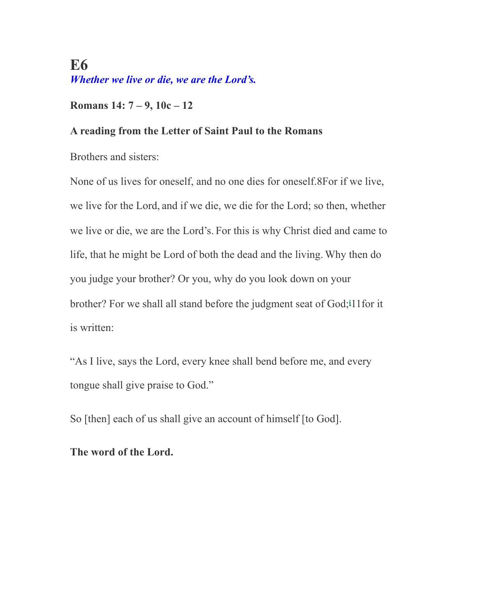## **E6**  *Whether we live or die, we are the Lord's.*

### **Romans 14: 7 – 9, 10c – 12**

### **A reading from the Letter of Saint Paul to the Romans**

Brothers and sisters:

None of us lives for oneself, and no one dies for oneself.8For if we live, we live for the Lord, and if we die, we die for the Lord; so then, whether we live or die, we are the Lord's. For this is why Christ died and came to life, that he might be Lord of both the dead and the living. Why then do you judge your brother? Or you, why do you look down on your brother? For we shall all stand before the judgment seat of God;**[i](http://www.usccb.org/bible/romans/14#53014010-i)** 11for it is written:

"As I live, says the Lord, every knee shall bend before me, and every tongue shall give praise to God."

So [then] each of us shall give an account of himself [to God].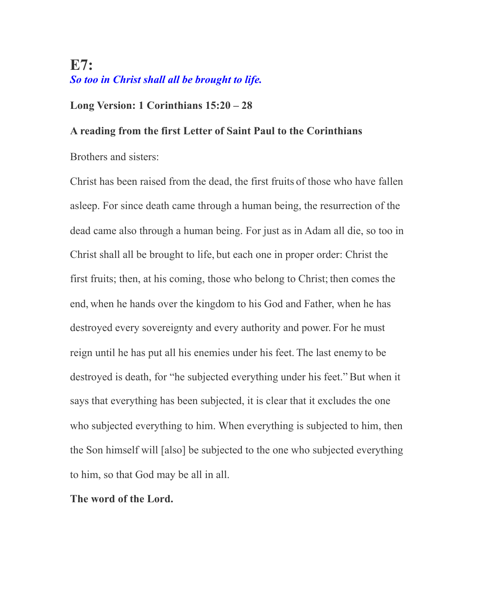## **E7:**  *So too in Christ shall all be brought to life.*

### **Long Version: 1 Corinthians 15:20 – 28**

### **A reading from the first Letter of Saint Paul to the Corinthians**

Brothers and sisters:

Christ has been raised from the dead, the first fruits of those who have fallen asleep. For since death came through a human being, the resurrection of the dead came also through a human being. For just as in Adam all die, so too in Christ shall all be brought to life, but each one in proper order: Christ the first fruits; then, at his coming, those who belong to Christ; then comes the end, when he hands over the kingdom to his God and Father, when he has destroyed every sovereignty and every authority and power. For he must reign until he has put all his enemies under his feet. The last enemy to be destroyed is death, for "he subjected everything under his feet." But when it says that everything has been subjected, it is clear that it excludes the one who subjected everything to him. When everything is subjected to him, then the Son himself will [also] be subjected to the one who subjected everything to him, so that God may be all in all.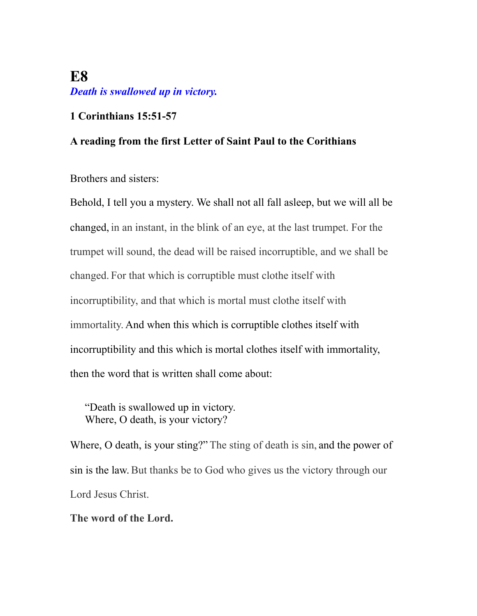## **E8**  *Death is swallowed up in victory.*

### **1 Corinthians 15:51-57**

### **A reading from the first Letter of Saint Paul to the Corithians**

Brothers and sisters:

Behold, I tell you a mystery. We shall not all fall asleep, but we will all be changed, in an instant, in the blink of an eye, at the last trumpet. For the trumpet will sound, the dead will be raised incorruptible, and we shall be changed. For that which is corruptible must clothe itself with incorruptibility, and that which is mortal must clothe itself with immortality. And when this which is corruptible clothes itself with incorruptibility and this which is mortal clothes itself with immortality, then the word that is written shall come about:

"Death is swallowed up in victory. Where, O death, is your victory?

Where, O death, is your sting?" The sting of death is sin, and the power of sin is the law. But thanks be to God who gives us the victory through our Lord Jesus Christ.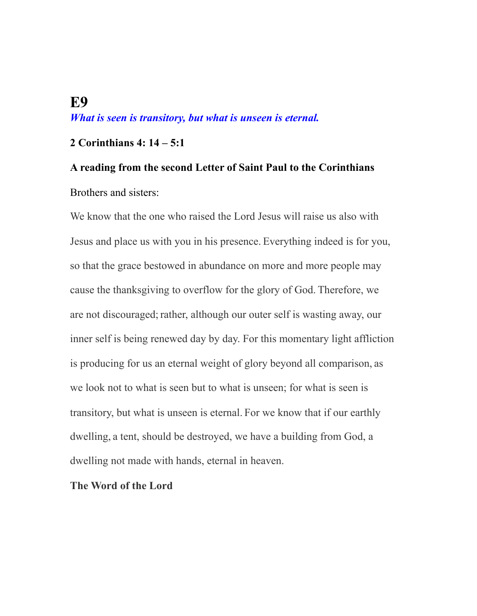## **E9**  *What is seen is transitory, but what is unseen is eternal.*

### **2 Corinthians 4: 14 – 5:1**

# **A reading from the second Letter of Saint Paul to the Corinthians**  Brothers and sisters:

We know that the one who raised the Lord Jesus will raise us also with Jesus and place us with you in his presence. Everything indeed is for you, so that the grace bestowed in abundance on more and more people may cause the thanksgiving to overflow for the glory of God. Therefore, we are not discouraged; rather, although our outer self is wasting away, our inner self is being renewed day by day. For this momentary light affliction is producing for us an eternal weight of glory beyond all comparison, as we look not to what is seen but to what is unseen; for what is seen is transitory, but what is unseen is eternal. For we know that if our earthly dwelling, a tent, should be destroyed, we have a building from God, a dwelling not made with hands, eternal in heaven.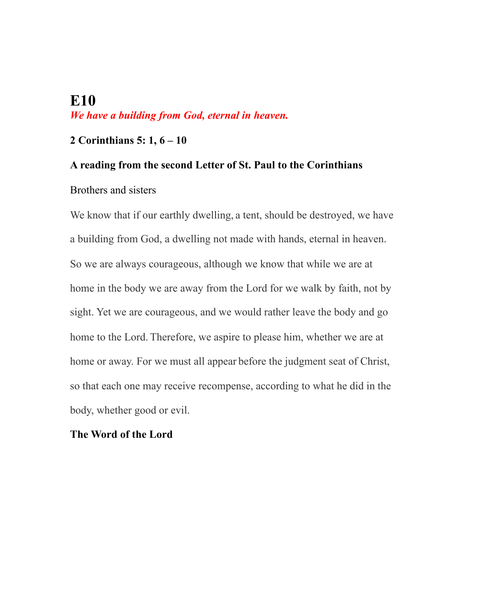## **E10**  *We have a building from God, eternal in heaven.*

### **2 Corinthians 5: 1, 6 – 10**

### **A reading from the second Letter of St. Paul to the Corinthians**

### Brothers and sisters

We know that if our earthly dwelling, a tent, should be destroyed, we have a building from God, a dwelling not made with hands, eternal in heaven. So we are always courageous, although we know that while we are at home in the body we are away from the Lord for we walk by faith, not by sight. Yet we are courageous, and we would rather leave the body and go home to the Lord. Therefore, we aspire to please him, whether we are at home or away. For we must all appear before the judgment seat of Christ, so that each one may receive recompense, according to what he did in the body, whether good or evil.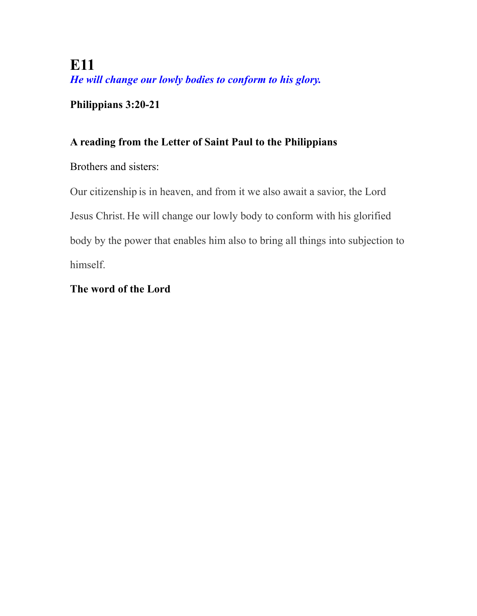**E11**  *He will change our lowly bodies to conform to his glory.* 

**Philippians 3:20-21** 

### **A reading from the Letter of Saint Paul to the Philippians**

Brothers and sisters:

Our citizenship is in heaven, and from it we also await a savior, the Lord Jesus Christ. He will change our lowly body to conform with his glorified body by the power that enables him also to bring all things into subjection to himself.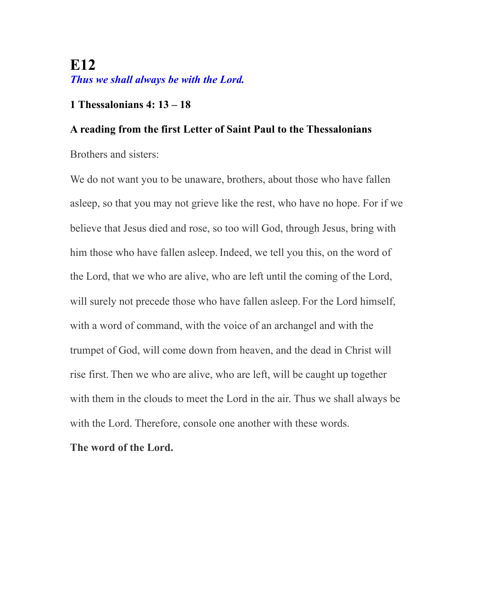## **E12** *Thus we shall always be with the Lord.*

### **1 Thessalonians 4: 13 – 18**

### **A reading from the first Letter of Saint Paul to the Thessalonians**

Brothers and sisters:

We do not want you to be unaware, brothers, about those who have fallen asleep, so that you may not grieve like the rest, who have no hope. For if we believe that Jesus died and rose, so too will God, through Jesus, bring with him those who have fallen asleep. Indeed, we tell you this, on the word of the Lord, that we who are alive, who are left until the coming of the Lord, will surely not precede those who have fallen asleep. For the Lord himself, with a word of command, with the voice of an archangel and with the trumpet of God, will come down from heaven, and the dead in Christ will rise first. Then we who are alive, who are left, will be caught up together with them in the clouds to meet the Lord in the air. Thus we shall always be with the Lord. Therefore, console one another with these words.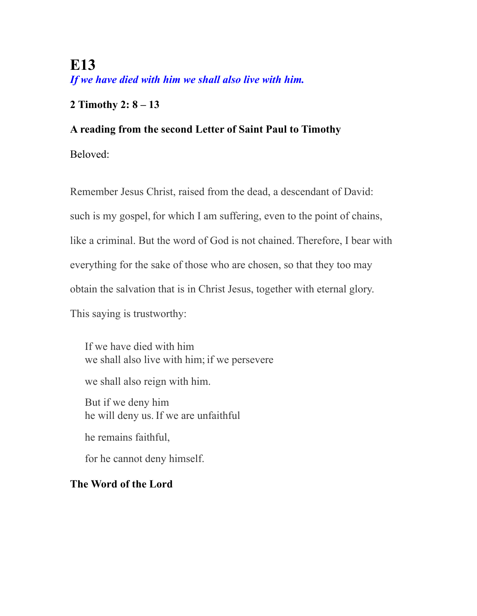**E13**  *If we have died with him we shall also live with him.* 

### **2 Timothy 2: 8 – 13**

### **A reading from the second Letter of Saint Paul to Timothy**

Beloved:

Remember Jesus Christ, raised from the dead, a descendant of David: such is my gospel, for which I am suffering, even to the point of chains, like a criminal. But the word of God is not chained. Therefore, I bear with everything for the sake of those who are chosen, so that they too may obtain the salvation that is in Christ Jesus, together with eternal glory. This saying is trustworthy:

If we have died with him we shall also live with him; if we persevere we shall also reign with him. But if we deny him he will deny us. If we are unfaithful

he remains faithful,

for he cannot deny himself.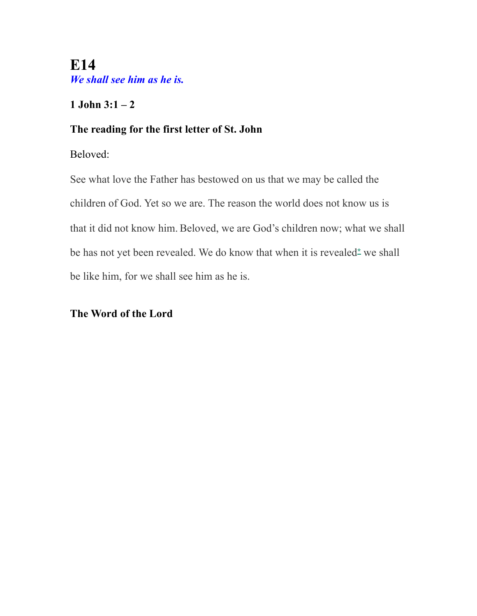**E14**  *We shall see him as he is.* 

**1** John  $3:1-2$ 

### **The reading for the first letter of St. John**

Beloved:

See what love the Father has bestowed on us that we may be called the children of God. Yet so we are. The reason the world does not know us is that it did not know him. Beloved, we are God's children now; what we shall be has not yet been revealed. We do know that when it is revealed**[\\*](http://www.usccb.org/bible/1john/3#70003002-1)** we shall be like him, for we shall see him as he is.